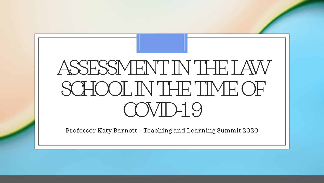# ASSESSMENT IN THE LAW SCHOOL IN THE TIME OF COVID-19

Professor Katy Barnett – Teaching and Learning Summit 2020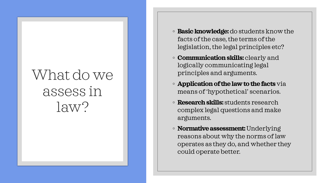#### What do we assess in law?

- **Basic knowledge:** do students know the facts of the case, the terms of the legislation, the legal principles etc ?
- **Communication skills:** clearly and logically communicating legal principles and arguments.
- **Application of the law to the facts** via means of 'hypothetical' scenarios.
- **Research skills:** students research complex legal questions and make arguments.
- **Normative assessment:** Underlying reasons about why the norms of law operates as they do, and whether they could operate better.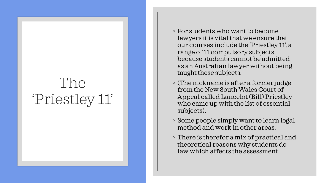#### The 'Priestley 11'

- For students who want to become lawyers it is vital that we ensure that our courses include the 'Priestley 11', a range of 11 compulsory subjects because students cannot be admitted as an Australian lawyer without being taught these subjects.
- (The nickname is after a former judge from the New South Wales Court of Appeal called Lancelot (Bill) Priestley who came up with the list of essential subjects).
- Some people simply want to learn legal method and work in other areas.
- There is therefor a mix of practical and theoretical reasons why students do law which affects the assessment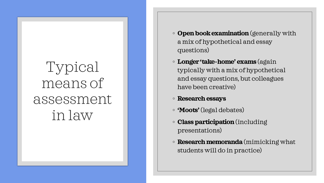# Typical means of assessment in law

- **Open book examination** (generally with a mix of hypothetical and essay questions)
- **Longer 'take-home' exams** (again typically with a mix of hypothetical and essay questions, but colleagues have been creative)
- **Research essays**
- **'Moots'** (legal debates)
- **Class participation** (including presentations)
- **Research memoranda** (mimicking what students will do in practice)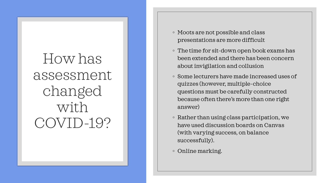# How has assessment changed with COVID -19?

- Moots are not possible and class presentations are more difficult
- The time for sit -down open book exams has been extended and there has been concern about invigilation and collusion
- Some lecturers have made increased uses of quizzes (however, multiple -choice questions must be carefully constructed because often there's more than one right answer)
- Rather than using class participation, we have used discussion boards on Canvas (with varying success, on balance successfully).
- Online marking.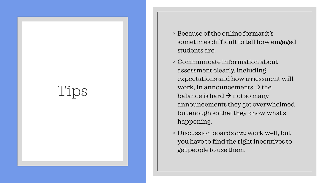#### Tips

- Because of the online format it's sometimes difficult to tell how engaged students are.
- Communicate information about assessment clearly, including expectations and how assessment will work, in announcements  $\rightarrow$  the balance is hard  $\rightarrow$  not so many announcements they get overwhelmed but enough so that they know what's happening.
- Discussion boards *can* work well, but you have to find the right incentives to get people to use them.